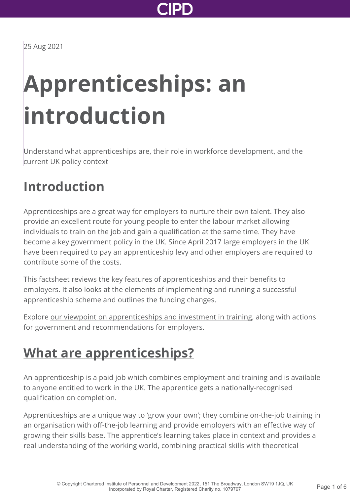

25 Aug 2021

# **Apprenticeships: an introduction**

Understand what apprenticeships are, their role in workforce development, and the current UK policy context

### **Introduction**

Apprenticeships are a great way for employers to nurture their own talent. They also provide an excellent route for young people to enter the labour market allowing individuals to train on the job and gain a qualification at the same time. They have become a key government policy in the UK. Since April 2017 large employers in the UK have been required to pay an apprenticeship levy and other employers are required to contribute some of the costs.

This factsheet reviews the key features of apprenticeships and their benefits to employers. It also looks at the elements of implementing and running a successful apprenticeship scheme and outlines the funding changes.

Explore [our viewpoint on apprenticeships and investment in training](http://www.cipd.co.uk/news-views/viewpoint/apprenticeships-investment-training/), along with actions for government and recommendations for employers.

### **[What are apprenticeships?](http://www.cipd.co.uk/knowledge/fundamentals/people/routes-work/apprenticeships-factsheet?pdf=true#)**

An apprenticeship is a paid job which combines employment and training and is available to anyone entitled to work in the UK. The apprentice gets a nationally-recognised qualification on completion.

Apprenticeships are a unique way to 'grow your own'; they combine on-the-job training in an organisation with off-the-job learning and provide employers with an effective way of growing their skills base. The apprentice's learning takes place in context and provides a real understanding of the working world, combining practical skills with theoretical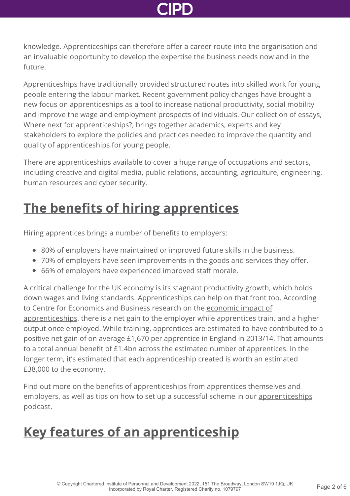knowledge. Apprenticeships can therefore offer a career route into the organisation and an invaluable opportunity to develop the expertise the business needs now and in the future.

Apprenticeships have traditionally provided structured routes into skilled work for young people entering the labour market. Recent government policy changes have brought a new focus on apprenticeships as a tool to increase national productivity, social mobility and improve the wage and employment prospects of individuals. Our collection of essays, [Where next for apprenticeships?](http://www.cipd.co.uk/knowledge/fundamentals/people/routes-work/where-next-for-apprenticeships-report/), brings together academics, experts and key stakeholders to explore the policies and practices needed to improve the quantity and quality of apprenticeships for young people.

There are apprenticeships available to cover a huge range of occupations and sectors, including creative and digital media, public relations, accounting, agriculture, engineering, human resources and cyber security.

## **[The benefits of hiring apprentices](http://www.cipd.co.uk/knowledge/fundamentals/people/routes-work/apprenticeships-factsheet?pdf=true#)**

Hiring apprentices brings a number of benefits to employers:

- 80% of employers have maintained or improved future skills in the business.
- 70% of employers have seen improvements in the goods and services they offer.
- 66% of employers have experienced improved staff morale.

A critical challenge for the UK economy is its stagnant productivity growth, which holds down wages and living standards. Apprenticeships can help on that front too. According [to Centre for Economics and Business research on the economic impact of](https://www.cebr.com/reports/economic-impact-of-apprenticeships/) apprenticeships, there is a net gain to the employer while apprentices train, and a higher output once employed. While training, apprentices are estimated to have contributed to a positive net gain of on average £1,670 per apprentice in England in 2013/14. That amounts to a total annual benefit of £1.4bn across the estimated number of apprentices. In the longer term, it's estimated that each apprenticeship created is worth an estimated £38,000 to the economy.

Find out more on the benefits of apprenticeships from apprentices themselves and [employers, as well as tips on how to set up a successful scheme in our apprenticeships](http://www.cipd.co.uk/podcasts/apprenticeships/) podcast.

## **[Key features of an apprenticeship](http://www.cipd.co.uk/knowledge/fundamentals/people/routes-work/apprenticeships-factsheet?pdf=true#)**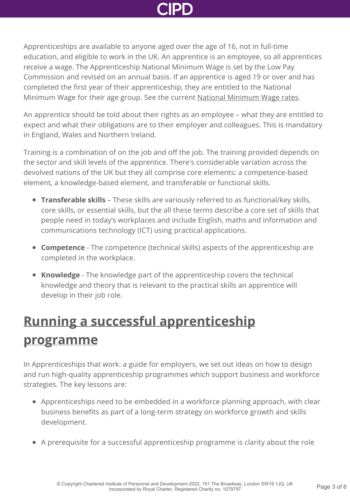

Apprenticeships are available to anyone aged over the age of 16, not in full-time education, and eligible to work in the UK. An apprentice is an employee, so all apprentices receive a wage. The Apprenticeship National Minimum Wage is set by the Low Pay Commission and revised on an annual basis. If an apprentice is aged 19 or over and has completed the first year of their apprenticeship, they are entitled to the National Minimum Wage for their age group. See the current [National Minimum Wage rates](http://www.cipd.co.uk/knowledge/fundamentals/emp-law/about/statutory-rates/).

An apprentice should be told about their rights as an employee – what they are entitled to expect and what their obligations are to their employer and colleagues. This is mandatory in England, Wales and Northern Ireland.

Training is a combination of on the job and off the job. The training provided depends on the sector and skill levels of the apprentice. There's considerable variation across the devolved nations of the UK but they all comprise core elements: a competence-based element, a knowledge-based element, and transferable or functional skills.

- **Transferable skills** These skills are variously referred to as functional/key skills, core skills, or essential skills, but the all these terms describe a core set of skills that people need in today's workplaces and include English, maths and information and communications technology (ICT) using practical applications.
- **Competence** The competence (technical skills) aspects of the apprenticeship are completed in the workplace.
- **Knowledge** The knowledge part of the apprenticeship covers the technical knowledge and theory that is relevant to the practical skills an apprentice will develop in their job role.

## **[Running a successful apprenticeship](http://www.cipd.co.uk/knowledge/fundamentals/people/routes-work/apprenticeships-factsheet?pdf=true#) programme**

In Apprenticeships that work: a guide for employers, we set out ideas on how to design and run high-quality apprenticeship programmes which support business and workforce strategies. The key lessons are:

- Apprenticeships need to be embedded in a workforce planning approach, with clear business benefits as part of a long-term strategy on workforce growth and skills development.
- A prerequisite for a successful apprenticeship programme is clarity about the role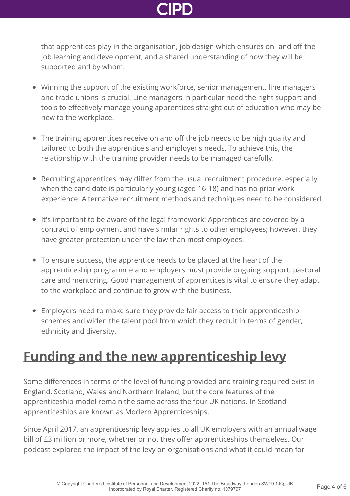that apprentices play in the organisation, job design which ensures on- and off-thejob learning and development, and a shared understanding of how they will be supported and by whom.

- Winning the support of the existing workforce, senior management, line managers and trade unions is crucial. Line managers in particular need the right support and tools to effectively manage young apprentices straight out of education who may be new to the workplace.
- The training apprentices receive on and off the job needs to be high quality and tailored to both the apprentice's and employer's needs. To achieve this, the relationship with the training provider needs to be managed carefully.
- Recruiting apprentices may differ from the usual recruitment procedure, especially when the candidate is particularly young (aged 16-18) and has no prior work experience. Alternative recruitment methods and techniques need to be considered.
- It's important to be aware of the legal framework: Apprentices are covered by a contract of employment and have similar rights to other employees; however, they have greater protection under the law than most employees.
- To ensure success, the apprentice needs to be placed at the heart of the apprenticeship programme and employers must provide ongoing support, pastoral care and mentoring. Good management of apprentices is vital to ensure they adapt to the workplace and continue to grow with the business.
- Employers need to make sure they provide fair access to their apprenticeship schemes and widen the talent pool from which they recruit in terms of gender, ethnicity and diversity.

### **[Funding and the new apprenticeship levy](http://www.cipd.co.uk/knowledge/fundamentals/people/routes-work/apprenticeships-factsheet?pdf=true#)**

Some differences in terms of the level of funding provided and training required exist in England, Scotland, Wales and Northern Ireland, but the core features of the apprenticeship model remain the same across the four UK nations. In Scotland apprenticeships are known as Modern Apprenticeships.

Since April 2017, an apprenticeship levy applies to all UK employers with an annual wage bill of £3 million or more, whether or not they offer apprenticeships themselves. Our [podcast](http://www.cipd.co.uk/podcasts/apprenticeship-levy/) explored the impact of the levy on organisations and what it could mean for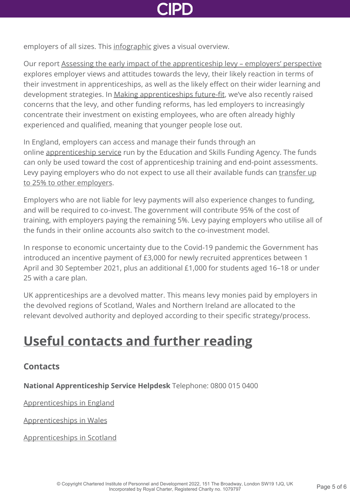

employers of all sizes. This [infographic](https://www.cipd.co.uk/Images/apprenticeship-levy-infographic_2017_tcm18-36702.pdf) gives a visual overview.

Our report [Assessing the early impact of the apprenticeship levy – employers' perspective](http://www.cipd.co.uk/knowledge/fundamentals/people/routes-work/impact-apprenticeship-levy/) explores employer views and attitudes towards the levy, their likely reaction in terms of their investment in apprenticeships, as well as the likely effect on their wider learning and development strategies. In [Making apprenticeships future-fit](http://www.cipd.co.uk/knowledge/fundamentals/people/routes-work/apprenticeships-future-fit/), we've also recently raised concerns that the levy, and other funding reforms, has led employers to increasingly concentrate their investment on existing employees, who are often already highly experienced and qualified, meaning that younger people lose out.

In England, employers can access and manage their funds through an online [apprenticeship service](https://www.gov.uk/guidance/manage-apprenticeship-funds) run by the Education and Skills Funding Agency. The funds can only be used toward the cost of apprenticeship training and end-point assessments. [Levy paying employers who do not expect to use all their available funds can transfer up](https://www.gov.uk/guidance/transferring-apprenticeship-service-funds) to 25% to other employers.

Employers who are not liable for levy payments will also experience changes to funding, and will be required to co-invest. The government will contribute 95% of the cost of training, with employers paying the remaining 5%. Levy paying employers who utilise all of the funds in their online accounts also switch to the co-investment model.

In response to economic uncertainty due to the Covid-19 pandemic the Government has introduced an incentive payment of £3,000 for newly recruited apprentices between 1 April and 30 September 2021, plus an additional £1,000 for students aged 16–18 or under 25 with a care plan.

UK apprenticeships are a devolved matter. This means levy monies paid by employers in the devolved regions of Scotland, Wales and Northern Ireland are allocated to the relevant devolved authority and deployed according to their specific strategy/process.

## **[Useful contacts and further reading](http://www.cipd.co.uk/knowledge/fundamentals/people/routes-work/apprenticeships-factsheet?pdf=true#)**

### **Contacts**

**National Apprenticeship Service Helpdesk** Telephone: 0800 015 0400

[Apprenticeships in England](https://www.apprenticeships.gov.uk/)

[Apprenticeships in Wales](http://www.careerswales.com/en/)

[Apprenticeships in Scotland](http://www.apprenticeships.scot)